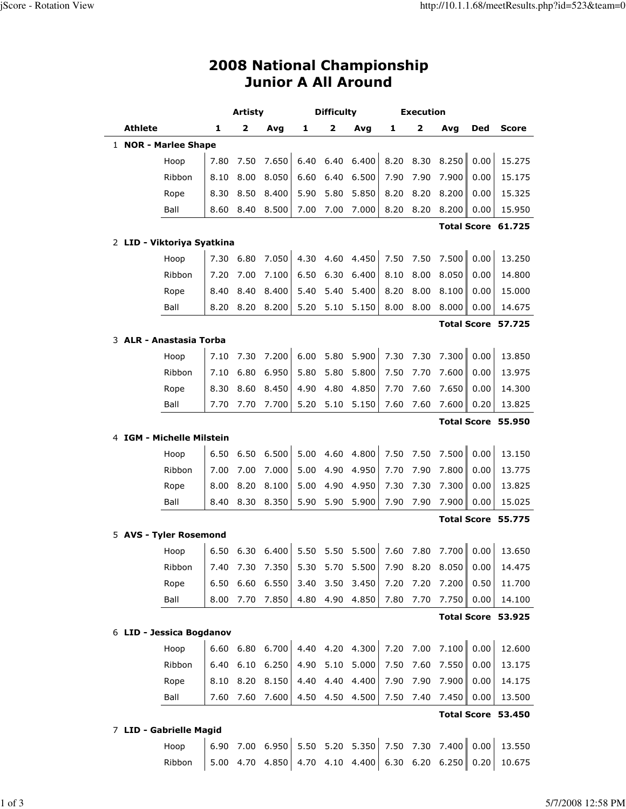## 2008 National Championship Junior A All Around

|                            |      | Artisty      |                 | Difficulty |                         |                                                      | <b>Execution</b> |           |       |      |                    |
|----------------------------|------|--------------|-----------------|------------|-------------------------|------------------------------------------------------|------------------|-----------|-------|------|--------------------|
| <b>Athlete</b>             | 1    | $\mathbf{z}$ | Avg             | 1          | $\overline{\mathbf{2}}$ | Avg                                                  | 1                | 2         | Avq   | Ded  | <b>Score</b>       |
| 1 NOR - Marlee Shape       |      |              |                 |            |                         |                                                      |                  |           |       |      |                    |
| Hoop                       | 7.80 | 7.50         | 7.650           | 6.40       | 6.40                    | 6.400                                                | 8.20             | 8.30      | 8.250 | 0.00 | 15.275             |
| Ribbon                     | 8.10 | 8.00         | 8.050           | 6.60       | 6.40                    | 6.500                                                | 7.90             | 7.90      | 7.900 | 0.00 | 15.175             |
| Rope                       | 8.30 | 8.50         | 8.400           | 5.90       | 5.80                    | 5.850                                                | 8.20             | 8.20      | 8.200 | 0.00 | 15.325             |
| Ball                       | 8.60 | 8.40         | 8.500           | 7.00       | 7.00                    | 7.000                                                | 8.20             | 8.20      | 8.200 | 0.00 | 15.950             |
|                            |      |              |                 |            |                         |                                                      |                  |           |       |      | Total Score 61.725 |
| 2 LID - Viktoriya Syatkina |      |              |                 |            |                         |                                                      |                  |           |       |      |                    |
| Hoop                       | 7.30 | 6.80         | 7.050           | 4.30       | 4.60                    | 4.450                                                | 7.50             | 7.50      | 7.500 | 0.00 | 13.250             |
| Ribbon                     | 7.20 | 7.00         | 7.100           | 6.50       | 6.30                    | 6.400                                                | 8.10             | 8.00      | 8.050 | 0.00 | 14.800             |
| Rope                       | 8.40 | 8.40         | 8.400           | 5.40       | 5.40                    | 5.400                                                | 8.20             | 8.00      | 8.100 | 0.00 | 15.000             |
| Ball                       | 8.20 | 8.20         | 8.200           | 5.20       | 5.10                    | 5.150                                                | 8.00             | 8.00      | 8.000 | 0.00 | 14.675             |
|                            |      |              |                 |            |                         |                                                      |                  |           |       |      | Total Score 57.725 |
| 3 ALR - Anastasia Torba    |      |              |                 |            |                         |                                                      |                  |           |       |      |                    |
| Hoop                       | 7.10 | 7.30         | 7.200           | 6.00       | 5.80                    | 5.900                                                | 7.30             | 7.30      | 7.300 | 0.00 | 13.850             |
| Ribbon                     | 7.10 | 6.80         | 6.950           | 5.80       | 5.80                    | 5.800                                                | 7.50             | 7.70      | 7.600 | 0.00 | 13.975             |
| Rope                       | 8.30 | 8.60         | 8.450           | 4.90       | 4.80                    | 4.850                                                | 7.70             | 7.60      | 7.650 | 0.00 | 14.300             |
| Ball                       | 7.70 | 7.70         | 7.700           | 5.20       | 5.10                    | 5.150                                                | 7.60             | 7.60      | 7.600 | 0.20 | 13.825             |
|                            |      |              |                 |            |                         |                                                      |                  |           |       |      | Total Score 55.950 |
| 4 IGM - Michelle Milstein  |      |              |                 |            |                         |                                                      |                  |           |       |      |                    |
| Hoop                       | 6.50 | 6.50         | 6.500           | 5.00       | 4.60                    | 4.800                                                | 7.50             | 7.50      | 7.500 | 0.00 | 13.150             |
| Ribbon                     | 7.00 | 7.00         | 7.000           | 5.00       | 4.90                    | 4.950                                                | 7.70             | 7.90      | 7.800 | 0.00 | 13.775             |
| Rope                       | 8.00 | 8.20         | 8.100           | 5.00       | 4.90                    | 4.950                                                | 7.30             | 7.30      | 7.300 | 0.00 | 13.825             |
| Ball                       | 8.40 | 8.30         | 8.350           | 5.90       | 5.90                    | 5.900                                                | 7.90             | 7.90      | 7.900 | 0.00 | 15.025             |
|                            |      |              |                 |            |                         |                                                      |                  |           |       |      | Total Score 55.775 |
| 5 AVS - Tyler Rosemond     |      |              |                 |            |                         |                                                      |                  |           |       |      |                    |
| Hoop                       | 6.50 | 6.30         | 6.400           |            |                         | 5.50 5.50 5.500                                      |                  | 7.60 7.80 | 7.700 | 0.00 | 13.650             |
| Ribbon                     |      |              | 7.40 7.30 7.350 |            |                         | 5.30 5.70 5.500 7.90 8.20 8.050 0.00                 |                  |           |       |      | 14.475             |
| Rope                       | 6.50 | 6.60         | 6.550           | 3.40       | 3.50                    | 3.450                                                | 7.20             | 7.20      | 7.200 | 0.50 | 11.700             |
| Ball                       | 8.00 | 7.70         | 7.850           | 4.80       | 4.90                    | 4.850                                                | 7.80             | 7.70      | 7.750 | 0.00 | 14.100             |
|                            |      |              |                 |            |                         |                                                      |                  |           |       |      | Total Score 53.925 |
| 6 LID - Jessica Bogdanov   |      |              |                 |            |                         |                                                      |                  |           |       |      |                    |
| Hoop                       | 6.60 | 6.80         | 6.700           | 4.40       | 4.20                    | 4.300                                                | 7.20             | 7.00      | 7.100 | 0.00 | 12.600             |
| Ribbon                     | 6.40 | 6.10         | 6.250           | 4.90       | 5.10                    | 5.000                                                | 7.50             | 7.60      | 7.550 | 0.00 | 13.175             |
| Rope                       | 8.10 | 8.20         | 8.150           | 4.40       | 4.40                    | 4.400                                                | 7.90             | 7.90      | 7.900 | 0.00 | 14.175             |
| Ball                       | 7.60 | 7.60         | 7.600           | 4.50       | 4.50                    | 4.500                                                | 7.50             | 7.40      | 7.450 | 0.00 | 13.500             |
|                            |      |              |                 |            |                         |                                                      |                  |           |       |      | Total Score 53.450 |
| 7 LID - Gabrielle Magid    |      |              |                 |            |                         |                                                      |                  |           |       |      |                    |
| Hoop                       |      |              |                 |            |                         | 6.90 7.00 6.950 5.50 5.20 5.350 7.50 7.30 7.400 0.00 |                  |           |       |      | 13.550             |

Ribbon  $\Big| 5.00 \Big| 4.70 \Big| 4.70 \Big| 4.10 \Big| 4.400 \Big| 6.30 \Big| 6.20 \Big| 6.250 \Big| 0.20 \Big| 10.675 \Big|$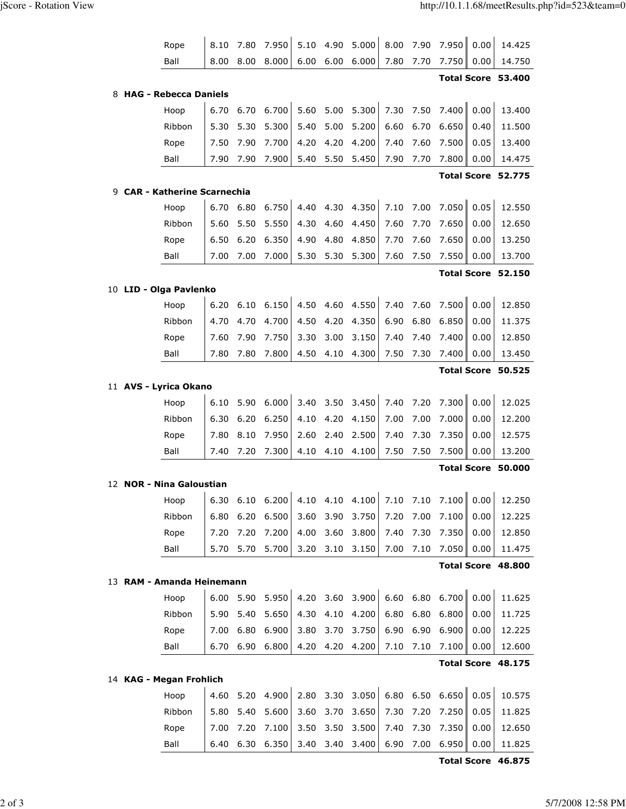|    | Rope                              | 8.10 | 7.80 | 7.950 |      | 5.10 4.90 | 5.000           | 8.00 | 7.90 | 7.950        | 0.00 | 14.425             |
|----|-----------------------------------|------|------|-------|------|-----------|-----------------|------|------|--------------|------|--------------------|
|    | Ball                              | 8.00 | 8.00 | 8.000 | 6.00 | 6.00      | 6.000           | 7.80 | 7.70 | 7.750        | 0.00 | 14.750             |
|    |                                   |      |      |       |      |           |                 |      |      |              |      | Total Score 53.400 |
| 8  | <b>HAG - Rebecca Daniels</b>      |      |      |       |      |           |                 |      |      |              |      |                    |
|    | Hoop                              | 6.70 | 6.70 | 6.700 | 5.60 | 5.00      | 5.300           | 7.30 | 7.50 | 7.400        | 0.00 | 13.400             |
|    | Ribbon                            | 5.30 | 5.30 | 5.300 | 5.40 | 5.00      | 5.200           | 6.60 | 6.70 | 6.650        | 0.40 | 11.500             |
|    | Rope                              | 7.50 | 7.90 | 7.700 | 4.20 | 4.20      | 4.200           | 7.40 | 7.60 | 7.500        | 0.05 | 13.400             |
|    | Ball                              | 7.90 | 7.90 | 7.900 | 5.40 | 5.50      | 5.450           | 7.90 | 7.70 | 7.800        | 0.00 | 14.475             |
|    |                                   |      |      |       |      |           |                 |      |      |              |      | Total Score 52.775 |
| 9. | <b>CAR - Katherine Scarnechia</b> |      |      |       |      |           |                 |      |      |              |      |                    |
|    | Hoop                              | 6.70 | 6.80 | 6.750 |      | 4.40 4.30 | 4.350           | 7.10 | 7.00 | 7.050        | 0.05 | 12.550             |
|    | Ribbon                            | 5.60 | 5.50 | 5.550 | 4.30 | 4.60      | 4.450           | 7.60 | 7.70 | 7.650        | 0.00 | 12.650             |
|    | Rope                              | 6.50 | 6.20 | 6.350 | 4.90 | 4.80      | 4.850           | 7.70 | 7.60 | 7.650        | 0.00 | 13.250             |
|    | Ball                              | 7.00 | 7.00 | 7.000 | 5.30 | 5.30      | 5.300           | 7.60 | 7.50 | 7.550        | 0.00 | 13.700             |
|    |                                   |      |      |       |      |           |                 |      |      |              |      | Total Score 52.150 |
| 10 | LID - Olga Pavlenko               |      |      |       |      |           |                 |      |      |              |      |                    |
|    | Hoop                              | 6.20 | 6.10 | 6.150 |      |           | 4.50 4.60 4.550 | 7.40 | 7.60 | 7.500        | 0.00 | 12.850             |
|    | Ribbon                            | 4.70 | 4.70 | 4.700 | 4.50 | 4.20      | 4.350           | 6.90 | 6.80 | 6.850        | 0.00 | 11.375             |
|    | Rope                              | 7.60 | 7.90 | 7.750 | 3.30 | 3.00      | 3.150           | 7.40 | 7.40 | 7.400        | 0.00 | 12.850             |
|    | Ball                              | 7.80 | 7.80 | 7.800 | 4.50 | 4.10      | 4.300           | 7.50 | 7.30 | 7.400        | 0.00 | 13.450             |
|    |                                   |      |      |       |      |           |                 |      |      |              |      | Total Score 50.525 |
|    | 11 AVS - Lyrica Okano             |      |      |       |      |           |                 |      |      |              |      |                    |
|    | Hoop                              | 6.10 |      |       |      |           |                 |      | 7.20 |              |      | 12.025             |
|    |                                   |      | 5.90 | 6.000 | 3.40 | 3.50      | 3.450           | 7.40 |      | 7.300        | 0.00 |                    |
|    | Ribbon                            | 6.30 | 6.20 | 6.250 | 4.10 | 4.20      | 4.150           | 7.00 | 7.00 | 7.000        | 0.00 | 12.200             |
|    | Rope                              | 7.80 | 8.10 | 7.950 | 2.60 | 2.40      | 2.500           | 7.40 | 7.30 | 7.350        | 0.00 | 12.575             |
|    | Ball                              | 7.40 | 7.20 | 7.300 | 4.10 | 4.10      | 4.100           | 7.50 | 7.50 | 7.500        | 0.00 | 13.200             |
|    |                                   |      |      |       |      |           |                 |      |      |              |      | Total Score 50.000 |
|    | 12 NOR - Nina Galoustian          |      |      |       |      |           |                 |      |      |              |      |                    |
|    | Hoop                              | 6.30 | 6.10 | 6.200 | 4.10 | 4.10      | 4.100           | 7.10 | 7.10 | 7.100        | 0.00 | 12.250             |
|    | Ribbon                            | 6.80 | 6.20 | 6.500 | 3.60 | 3.90      | 3.750           | 7.20 | 7.00 | 7.100        | 0.00 | 12.225             |
|    | Rope                              | 7.20 | 7.20 | 7.200 | 4.00 | 3.60      | 3.800           | 7.40 | 7.30 | 7.350        | 0.00 | 12.850             |
|    | Ball                              | 5.70 | 5.70 | 5.700 | 3.20 | 3.10      | 3.150           | 7.00 | 7.10 | 7.050        | 0.00 | 11.475             |
|    |                                   |      |      |       |      |           |                 |      |      |              |      | Total Score 48.800 |
|    | 13 RAM - Amanda Heinemann         |      |      |       |      |           |                 |      |      |              |      |                    |
|    | Hoop                              | 6.00 | 5.90 | 5.950 |      |           | 4.20 3.60 3.900 | 6.60 | 6.80 | 6.700   0.00 |      | 11.625             |
|    | Ribbon                            | 5.90 | 5.40 | 5.650 | 4.30 | 4.10      | 4.200           | 6.80 | 6.80 | 6.800        | 0.00 | 11.725             |
|    | Rope                              | 7.00 | 6.80 | 6.900 | 3.80 | 3.70      | 3.750           | 6.90 | 6.90 | 6.900        | 0.00 | 12.225             |
|    | Ball                              | 6.70 | 6.90 | 6.800 | 4.20 | 4.20      | 4.200           | 7.10 | 7.10 | 7.100        | 0.00 | 12.600             |
|    |                                   |      |      |       |      |           |                 |      |      |              |      | Total Score 48.175 |
|    | 14 KAG - Megan Frohlich           |      |      |       |      |           |                 |      |      |              |      |                    |
|    | Hoop                              | 4.60 | 5.20 | 4.900 | 2.80 | 3.30      | 3.050           | 6.80 | 6.50 | 6.650   0.05 |      | 10.575             |
|    | Ribbon                            | 5.80 | 5.40 | 5.600 | 3.60 | 3.70      | 3.650           | 7.30 | 7.20 | 7.250        | 0.05 | 11.825             |
|    | Rope                              | 7.00 | 7.20 | 7.100 | 3.50 | 3.50      | 3.500           | 7.40 | 7.30 | 7.350        | 0.00 | 12.650             |

Total Score 46.875